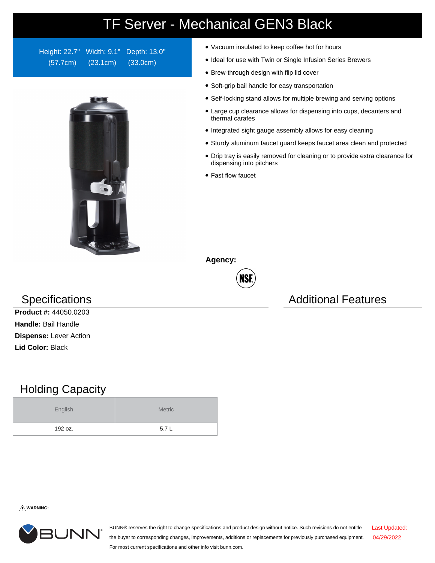## TF Server - Mechanical GEN3 Black

Height: 22.7" Width: 9.1" Depth: 13.0" (57.7cm) (23.1cm) (33.0cm)



- Vacuum insulated to keep coffee hot for hours
- Ideal for use with Twin or Single Infusion Series Brewers
- Brew-through design with flip lid cover
- Soft-grip bail handle for easy transportation
- Self-locking stand allows for multiple brewing and serving options
- Large cup clearance allows for dispensing into cups, decanters and thermal carafes
- Integrated sight gauge assembly allows for easy cleaning
- Sturdy aluminum faucet guard keeps faucet area clean and protected
- Drip tray is easily removed for cleaning or to provide extra clearance for dispensing into pitchers
- Fast flow faucet

**Agency:**



## Specifications **Additional Features** Additional Features

**Product #:** 44050.0203 **Handle:** Bail Handle **Dispense:** Lever Action **Lid Color:** Black

## Holding Capacity

| English | <b>Metric</b> |  |  |  |
|---------|---------------|--|--|--|
| 192 oz. | 5.7L          |  |  |  |

**WARNING:**



BUNN® reserves the right to change specifications and product design without notice. Such revisions do not entitle the buyer to corresponding changes, improvements, additions or replacements for previously purchased equipment. For most current specifications and other info visit bunn.com. Last Updated: 04/29/2022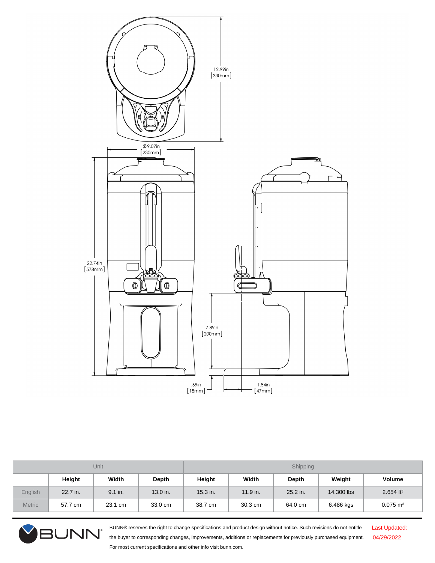

| Unit           |          |           |          | Shipping   |          |          |            |                         |  |
|----------------|----------|-----------|----------|------------|----------|----------|------------|-------------------------|--|
|                | Height   | Width     | Depth    | Height     | Width    | Depth    | Weight     | <b>Volume</b>           |  |
| <b>English</b> | 22.7 in. | $9.1$ in. | 13.0 in. | $15.3$ in. | 11.9 in. | 25.2 in. | 14,300 lbs | $2.654$ ft <sup>3</sup> |  |
| <b>Metric</b>  | 57.7 cm  | 23.1 cm   | 33.0 cm  | 38.7 cm    | 30.3 cm  | 64.0 cm  | 6.486 kgs  | $0.075 \text{ m}^3$     |  |



BUNN® reserves the right to change specifications and product design without notice. Such revisions do not entitle the buyer to corresponding changes, improvements, additions or replacements for previously purchased equipment. For most current specifications and other info visit bunn.com.

Last Updated: 04/29/2022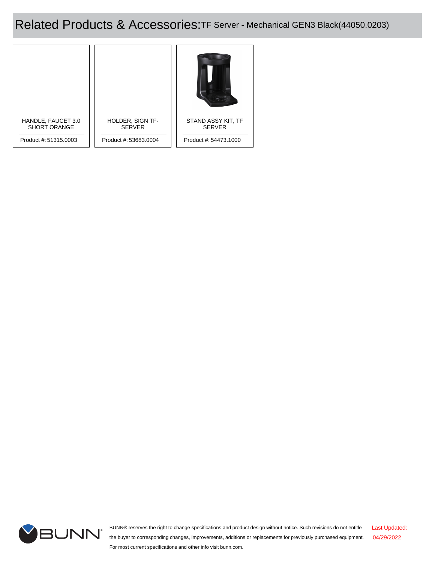Related Products & Accessories:TF Server - Mechanical GEN3 Black(44050.0203)





BUNN® reserves the right to change specifications and product design without notice. Such revisions do not entitle the buyer to corresponding changes, improvements, additions or replacements for previously purchased equipment. For most current specifications and other info visit bunn.com. Last Updated: 04/29/2022